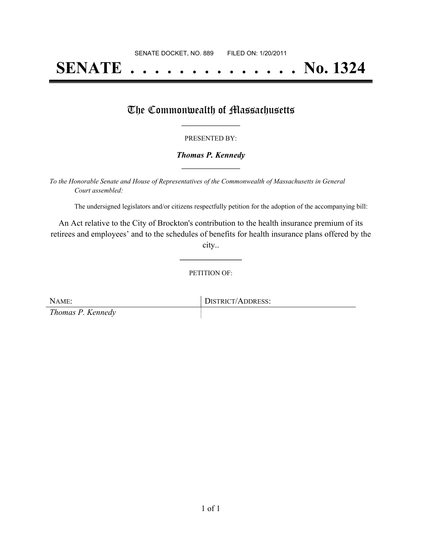# **SENATE . . . . . . . . . . . . . . No. 1324**

## The Commonwealth of Massachusetts

#### PRESENTED BY:

#### *Thomas P. Kennedy* **\_\_\_\_\_\_\_\_\_\_\_\_\_\_\_\_\_**

*To the Honorable Senate and House of Representatives of the Commonwealth of Massachusetts in General Court assembled:*

The undersigned legislators and/or citizens respectfully petition for the adoption of the accompanying bill:

An Act relative to the City of Brockton's contribution to the health insurance premium of its retirees and employees' and to the schedules of benefits for health insurance plans offered by the city..

PETITION OF:

**\_\_\_\_\_\_\_\_\_\_\_\_\_\_\_**

| NAME:             | DISTRICT/ADDRESS: |
|-------------------|-------------------|
| Thomas P. Kennedy |                   |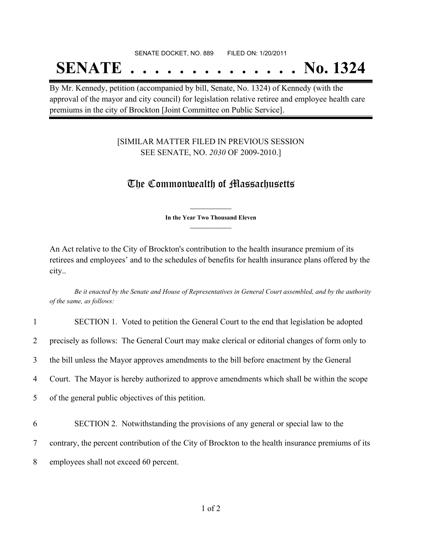## **SENATE . . . . . . . . . . . . . . No. 1324**

By Mr. Kennedy, petition (accompanied by bill, Senate, No. 1324) of Kennedy (with the approval of the mayor and city council) for legislation relative retiree and employee health care premiums in the city of Brockton [Joint Committee on Public Service].

### [SIMILAR MATTER FILED IN PREVIOUS SESSION SEE SENATE, NO. *2030* OF 2009-2010.]

## The Commonwealth of Massachusetts

**\_\_\_\_\_\_\_\_\_\_\_\_\_\_\_ In the Year Two Thousand Eleven \_\_\_\_\_\_\_\_\_\_\_\_\_\_\_**

An Act relative to the City of Brockton's contribution to the health insurance premium of its retirees and employees' and to the schedules of benefits for health insurance plans offered by the city..

Be it enacted by the Senate and House of Representatives in General Court assembled, and by the authority *of the same, as follows:*

| $\mathbf{1}$   | SECTION 1. Voted to petition the General Court to the end that legislation be adopted              |
|----------------|----------------------------------------------------------------------------------------------------|
| $\overline{2}$ | precisely as follows: The General Court may make clerical or editorial changes of form only to     |
| 3              | the bill unless the Mayor approves amendments to the bill before enactment by the General          |
| 4              | Court. The Mayor is hereby authorized to approve amendments which shall be within the scope        |
| 5 <sup>1</sup> | of the general public objectives of this petition.                                                 |
| 6              | SECTION 2. Notwithstanding the provisions of any general or special law to the                     |
| $\overline{7}$ | contrary, the percent contribution of the City of Brockton to the health insurance premiums of its |
| 8              | employees shall not exceed 60 percent.                                                             |